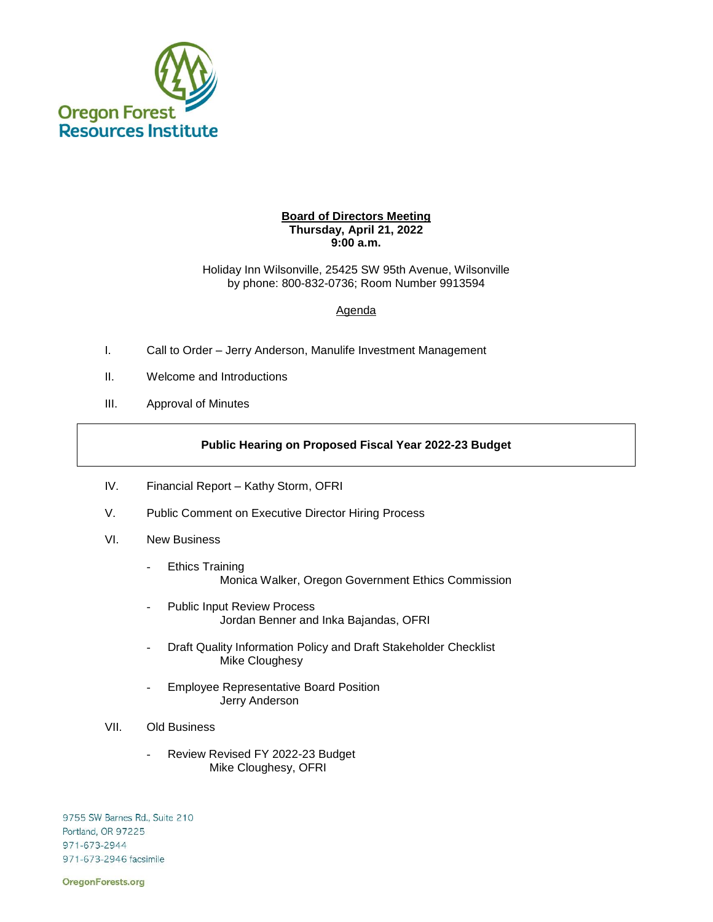

## **Board of Directors Meeting Thursday, April 21, 2022 9:00 a.m.**

Holiday Inn Wilsonville, 25425 SW 95th Avenue, Wilsonville by phone: 800-832-0736; Room Number 9913594

## Agenda

- I. Call to Order Jerry Anderson, Manulife Investment Management
- II. Welcome and Introductions
- III. Approval of Minutes

## **Public Hearing on Proposed Fiscal Year 2022-23 Budget**

- IV. Financial Report Kathy Storm, OFRI
- V. Public Comment on Executive Director Hiring Process
- VI. New Business
	- Ethics Training Monica Walker, Oregon Government Ethics Commission
	- Public Input Review Process Jordan Benner and Inka Bajandas, OFRI
	- Draft Quality Information Policy and Draft Stakeholder Checklist Mike Cloughesy
	- Employee Representative Board Position Jerry Anderson
- VII. Old Business
	- Review Revised FY 2022-23 Budget Mike Cloughesy, OFRI

9755 SW Barnes Rd., Suite 210 Portland, OR 97225 971-673-2944 971-673-2946 facsimile

OregonForests.org